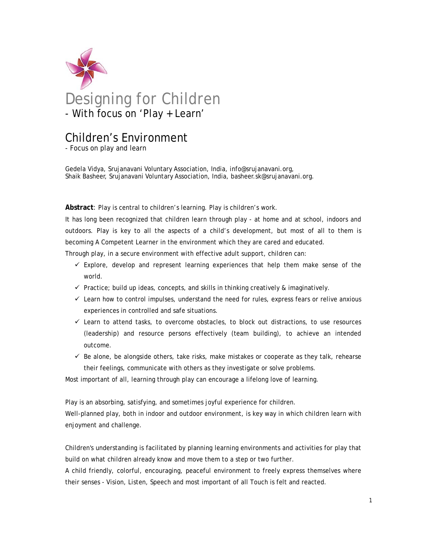

# Children's Environment

- Focus on play and learn

Gedela Vidya, Srujanavani Voluntary Association, India, info@srujanavani.org, Shaik Basheer, Srujanavani Voluntary Association, India, basheer.sk@srujanavani.org.

**Abstract**: Play is central to children's learning. Play is children's work.

It has long been recognized that children learn through play - at home and at school, indoors and outdoors. Play is key to all the aspects of a child's development, but most of all to them is becoming A Competent Learner in the environment which they are cared and educated.

Through play, in a secure environment with effective adult support, children can:

- $\checkmark$  Explore, develop and represent learning experiences that help them make sense of the world.
- $\checkmark$  Practice; build up ideas, concepts, and skills in thinking creatively & imaginatively.
- $\checkmark$  Learn how to control impulses, understand the need for rules, express fears or relive anxious experiences in controlled and safe situations.
- $\checkmark$  Learn to attend tasks, to overcome obstacles, to block out distractions, to use resources (leadership) and resource persons effectively (team building), to achieve an intended outcome.
- $\checkmark$  Be alone, be alongside others, take risks, make mistakes or cooperate as they talk, rehearse their feelings, communicate with others as they investigate or solve problems.

Most important of all, learning through play can encourage a lifelong love of learning.

Play is an absorbing, satisfying, and sometimes joyful experience for children.

Well-planned play, both in indoor and outdoor environment, is key way in which children learn with enjoyment and challenge.

Children's understanding is facilitated by planning learning environments and activities for play that build on what children already know and move them to a step or two further.

A child friendly, colorful, encouraging, peaceful environment to freely express themselves where their senses - Vision, Listen, Speech and most important of all Touch is felt and reacted.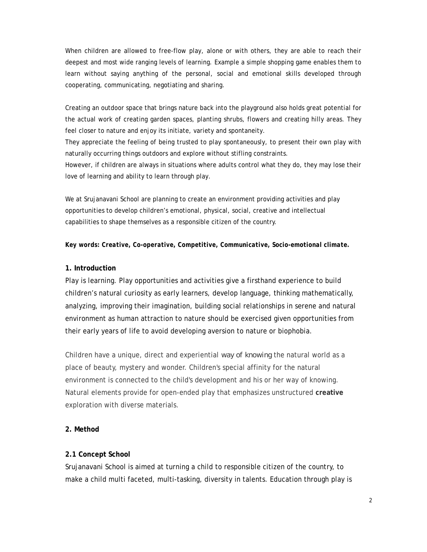When children are allowed to free-flow play, alone or with others, they are able to reach their deepest and most wide ranging levels of learning. Example a simple shopping game enables them to learn without saying anything of the personal, social and emotional skills developed through cooperating, communicating, negotiating and sharing.

Creating an outdoor space that brings nature back into the playground also holds great potential for the actual work of creating garden spaces, planting shrubs, flowers and creating hilly areas. They feel closer to nature and enjoy its initiate, variety and spontaneity.

They appreciate the feeling of being trusted to play spontaneously, to present their own play with naturally occurring things outdoors and explore without stifling constraints.

However, if children are always in situations where adults control what they do, they may lose their love of learning and ability to learn through play.

We at Srujanavani School are planning to create an environment providing activities and play opportunities to develop children's emotional, physical, social, creative and intellectual capabilities to shape themselves as a responsible citizen of the country.

*Key words: Creative, Co-operative, Competitive, Communicative, Socio-emotional climate.* 

## **1. Introduction**

Play is learning. Play opportunities and activities give a firsthand experience to build children's natural curiosity as early learners, develop language, thinking mathematically, analyzing, improving their imagination, building social relationships in serene and natural environment as human attraction to nature should be exercised given opportunities from their early years of life to avoid developing aversion to nature or biophobia.

Children have a unique, direct and experiential *way of knowing* the natural world as a place of beauty, mystery and wonder. Children's special affinity for the natural environment is connected to the child's development and his or her way of knowing. Natural elements provide for open-ended play that emphasizes unstructured **creative** exploration with diverse materials.

## **2. Method**

#### **2.1 Concept School**

Srujanavani School is aimed at turning a child to responsible citizen of the country, to make a child multi faceted, multi-tasking, diversity in talents. Education through play is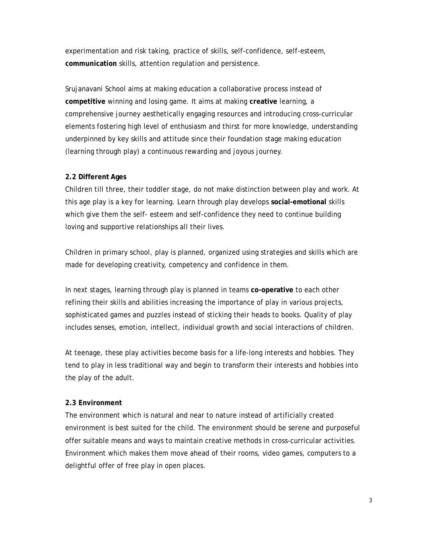experimentation and risk taking, practice of skills, self-confidence, self-esteem, **communication** skills, attention regulation and persistence.

Srujanavani School aims at making education a collaborative process instead of **competitive** winning and losing game. It aims at making **creative** learning, a comprehensive journey aesthetically engaging resources and introducing cross-curricular elements fostering high level of enthusiasm and thirst for more knowledge, understanding underpinned by key skills and attitude since their foundation stage making education (learning through play) a continuous rewarding and joyous journey.

# **2.2 Different Ages**

Children till three, their toddler stage, do not make distinction between play and work. At this age play is a key for learning. Learn through play develops **social-emotional** skills which give them the self- esteem and self-confidence they need to continue building loving and supportive relationships all their lives.

Children in primary school, play is planned, organized using strategies and skills which are made for developing creativity, competency and confidence in them.

In next stages, learning through play is planned in teams **co-operative** to each other refining their skills and abilities increasing the importance of play in various projects, sophisticated games and puzzles instead of sticking their heads to books. Quality of play includes senses, emotion, intellect, individual growth and social interactions of children.

At teenage, these play activities become basis for a life-long interests and hobbies. They tend to play in less traditional way and begin to transform their interests and hobbies into the play of the adult.

## **2.3 Environment**

The environment which is natural and near to nature instead of artificially created environment is best suited for the child. The environment should be serene and purposeful offer suitable means and ways to maintain creative methods in cross-curricular activities. Environment which makes them move ahead of their rooms, video games, computers to a delightful offer of free play in open places.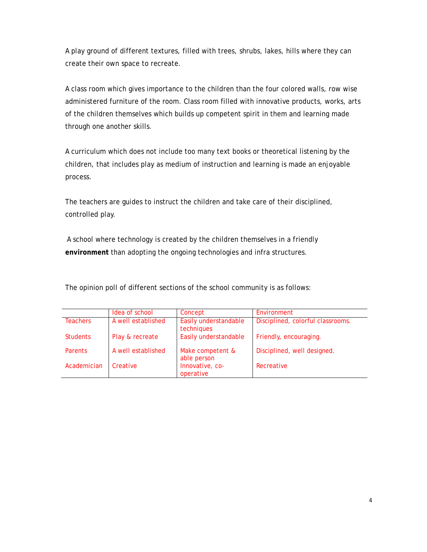A play ground of different textures, filled with trees, shrubs, lakes, hills where they can create their own space to recreate.

A class room which gives importance to the children than the four colored walls, row wise administered furniture of the room. Class room filled with innovative products, works, arts of the children themselves which builds up competent spirit in them and learning made through one another skills.

A curriculum which does not include too many text books or theoretical listening by the children, that includes play as medium of instruction and learning is made an enjoyable process.

The teachers are guides to instruct the children and take care of their disciplined, controlled play.

 A school where technology is created by the children themselves in a friendly **environment** than adopting the ongoing technologies and infra structures.

The opinion poll of different sections of the school community is as follows:

|                 | Idea of school     | Concept                             | Environment                       |
|-----------------|--------------------|-------------------------------------|-----------------------------------|
| <b>Teachers</b> | A well established | Easily understandable<br>techniques | Disciplined, colorful classrooms. |
| <b>Students</b> | Play & recreate    | Easily understandable               | Friendly, encouraging.            |
| <b>Parents</b>  | A well established | Make competent &<br>able person     | Disciplined, well designed.       |
| Academician     | Creative           | Innovative, co-<br>operative        | Recreative                        |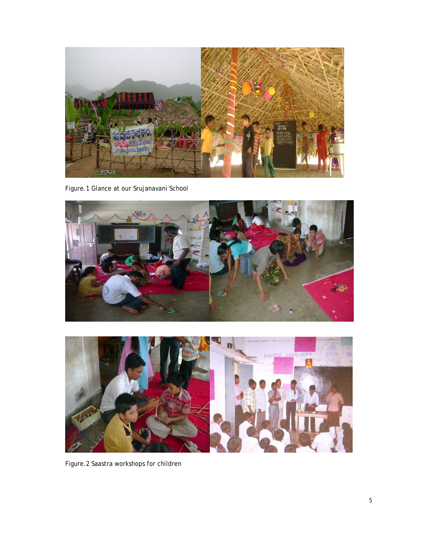

Figure.1 Glance at our Srujanavani School





Figure.2 Saastra workshops for children